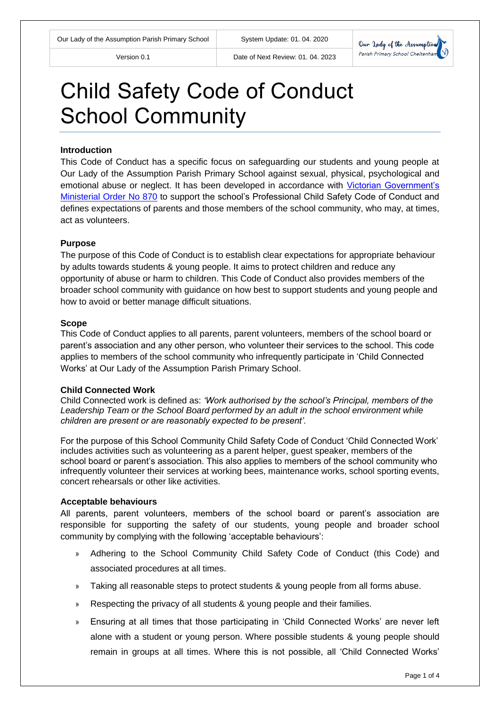

# Child Safety Code of Conduct School Community

### **Introduction**

This Code of Conduct has a specific focus on safeguarding our students and young people at Our Lady of the Assumption Parish Primary School against sexual, physical, psychological and emotional abuse or neglect. It has been developed in accordance with [Victorian Government's](http://www.vrqa.vic.gov.au/Documents/ChSafMINOrder8702.pdf)  [Ministerial Order No 870](http://www.vrqa.vic.gov.au/Documents/ChSafMINOrder8702.pdf) to support the school's Professional Child Safety Code of Conduct and defines expectations of parents and those members of the school community, who may, at times, act as volunteers.

#### **Purpose**

The purpose of this Code of Conduct is to establish clear expectations for appropriate behaviour by adults towards students & young people. It aims to protect children and reduce any opportunity of abuse or harm to children. This Code of Conduct also provides members of the broader school community with guidance on how best to support students and young people and how to avoid or better manage difficult situations.

#### **Scope**

This Code of Conduct applies to all parents, parent volunteers, members of the school board or parent's association and any other person, who volunteer their services to the school. This code applies to members of the school community who infrequently participate in 'Child Connected Works' at Our Lady of the Assumption Parish Primary School.

#### **Child Connected Work**

Child Connected work is defined as: *'Work authorised by the school's Principal, members of the Leadership Team or the School Board performed by an adult in the school environment while children are present or are reasonably expected to be present'*.

For the purpose of this School Community Child Safety Code of Conduct 'Child Connected Work' includes activities such as volunteering as a parent helper, guest speaker, members of the school board or parent's association. This also applies to members of the school community who infrequently volunteer their services at working bees, maintenance works, school sporting events, concert rehearsals or other like activities.

#### **Acceptable behaviours**

All parents, parent volunteers, members of the school board or parent's association are responsible for supporting the safety of our students, young people and broader school community by complying with the following 'acceptable behaviours':

- » Adhering to the School Community Child Safety Code of Conduct (this Code) and associated procedures at all times.
- » Taking all reasonable steps to protect students & young people from all forms abuse.
- » Respecting the privacy of all students & young people and their families.
- » Ensuring at all times that those participating in 'Child Connected Works' are never left alone with a student or young person. Where possible students & young people should remain in groups at all times. Where this is not possible, all 'Child Connected Works'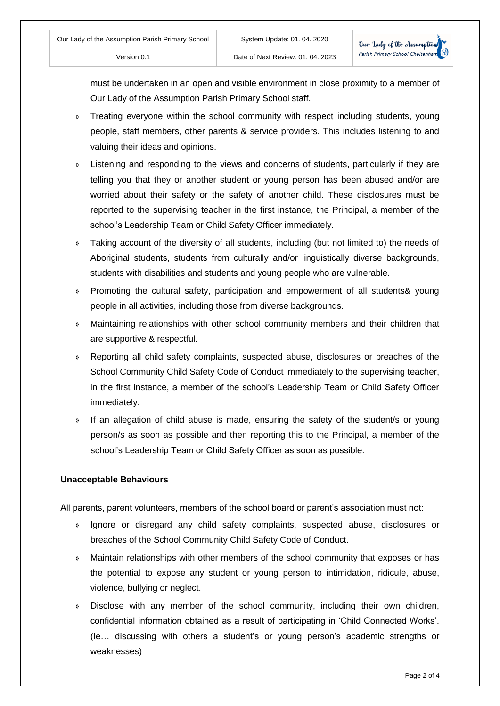must be undertaken in an open and visible environment in close proximity to a member of Our Lady of the Assumption Parish Primary School staff.

- » Treating everyone within the school community with respect including students, young people, staff members, other parents & service providers. This includes listening to and valuing their ideas and opinions.
- » Listening and responding to the views and concerns of students, particularly if they are telling you that they or another student or young person has been abused and/or are worried about their safety or the safety of another child. These disclosures must be reported to the supervising teacher in the first instance, the Principal, a member of the school's Leadership Team or Child Safety Officer immediately.
- » Taking account of the diversity of all students, including (but not limited to) the needs of Aboriginal students, students from culturally and/or linguistically diverse backgrounds, students with disabilities and students and young people who are vulnerable.
- » Promoting the cultural safety, participation and empowerment of all students& young people in all activities, including those from diverse backgrounds.
- » Maintaining relationships with other school community members and their children that are supportive & respectful.
- » Reporting all child safety complaints, suspected abuse, disclosures or breaches of the School Community Child Safety Code of Conduct immediately to the supervising teacher, in the first instance, a member of the school's Leadership Team or Child Safety Officer immediately.
- » If an allegation of child abuse is made, ensuring the safety of the student/s or young person/s as soon as possible and then reporting this to the Principal, a member of the school's Leadership Team or Child Safety Officer as soon as possible.

## **Unacceptable Behaviours**

All parents, parent volunteers, members of the school board or parent's association must not:

- » Ignore or disregard any child safety complaints, suspected abuse, disclosures or breaches of the School Community Child Safety Code of Conduct.
- » Maintain relationships with other members of the school community that exposes or has the potential to expose any student or young person to intimidation, ridicule, abuse, violence, bullying or neglect.
- » Disclose with any member of the school community, including their own children, confidential information obtained as a result of participating in 'Child Connected Works'. (Ie… discussing with others a student's or young person's academic strengths or weaknesses)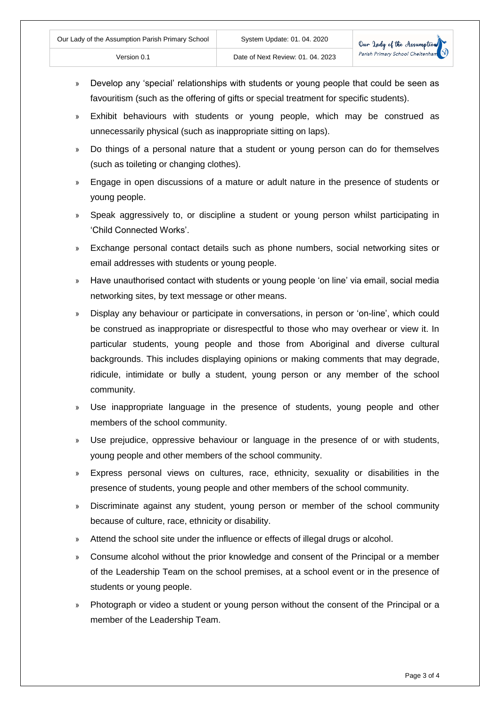- » Develop any 'special' relationships with students or young people that could be seen as favouritism (such as the offering of gifts or special treatment for specific students).
- » Exhibit behaviours with students or young people, which may be construed as unnecessarily physical (such as inappropriate sitting on laps).
- » Do things of a personal nature that a student or young person can do for themselves (such as toileting or changing clothes).
- » Engage in open discussions of a mature or adult nature in the presence of students or young people.
- » Speak aggressively to, or discipline a student or young person whilst participating in 'Child Connected Works'.
- » Exchange personal contact details such as phone numbers, social networking sites or email addresses with students or young people.
- » Have unauthorised contact with students or young people 'on line' via email, social media networking sites, by text message or other means.
- » Display any behaviour or participate in conversations, in person or 'on-line', which could be construed as inappropriate or disrespectful to those who may overhear or view it. In particular students, young people and those from Aboriginal and diverse cultural backgrounds. This includes displaying opinions or making comments that may degrade, ridicule, intimidate or bully a student, young person or any member of the school community.
- » Use inappropriate language in the presence of students, young people and other members of the school community.
- » Use prejudice, oppressive behaviour or language in the presence of or with students, young people and other members of the school community.
- » Express personal views on cultures, race, ethnicity, sexuality or disabilities in the presence of students, young people and other members of the school community.
- » Discriminate against any student, young person or member of the school community because of culture, race, ethnicity or disability.
- » Attend the school site under the influence or effects of illegal drugs or alcohol.
- » Consume alcohol without the prior knowledge and consent of the Principal or a member of the Leadership Team on the school premises, at a school event or in the presence of students or young people.
- » Photograph or video a student or young person without the consent of the Principal or a member of the Leadership Team.